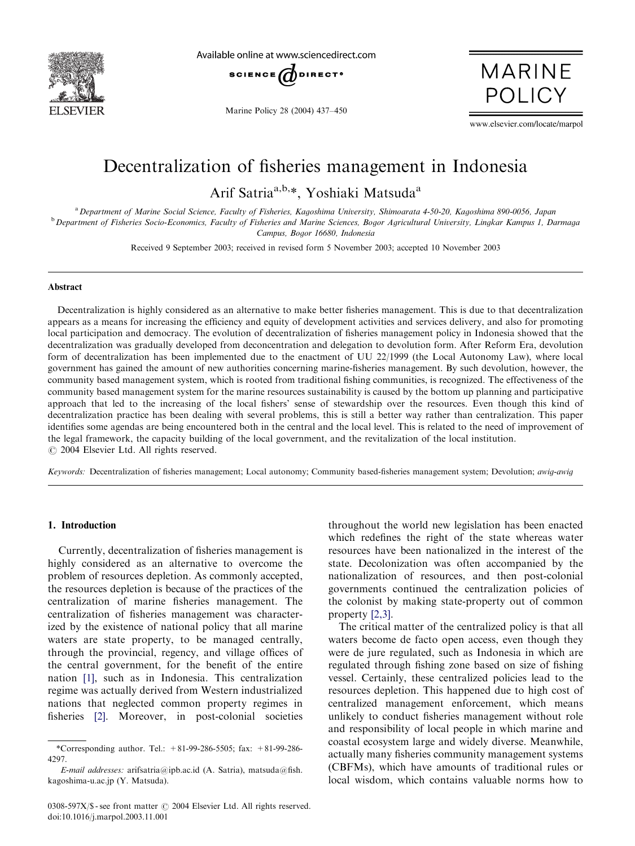

Available online at www.sciencedirect.com



Marine Policy 28 (2004) 437–450

**MARINE POLICY** 

www.elsevier.com/locate/marpol

# Decentralization of fisheries management in Indonesia

Arif Satria<sup>a,b,\*</sup>, Yoshiaki Matsuda<sup>a</sup>

a Department of Marine Social Science, Faculty of Fisheries, Kagoshima University, Shimoarata 4-50-20, Kagoshima 890-0056, Japan <sup>b</sup> Department of Fisheries Socio-Economics, Faculty of Fisheries and Marine Sciences, Bogor Agricultural University, Lingkar Kampus 1, Darmaga Campus, Bogor 16680, Indonesia

Received 9 September 2003; received in revised form 5 November 2003; accepted 10 November 2003

#### Abstract

Decentralization is highly considered as an alternative to make better fisheries management. This is due to that decentralization appears as a means for increasing the efficiency andequity of development activities andservices delivery, andalso for promoting local participation and democracy. The evolution of decentralization of fisheries management policy in Indonesia showed that the decentralization was gradually developed from deconcentration and delegation to devolution form. After Reform Era, devolution form of decentralization has been implemented due to the enactment of UU 22/1999 (the Local Autonomy Law), where local government has gained the amount of new authorities concerning marine-fisheries management. By such devolution, however, the community based management system, which is rooted from traditional fishing communities, is recognized. The effectiveness of the community based management system for the marine resources sustainability is caused by the bottom up planning and participative approach that led to the increasing of the local fishers' sense of stewardship over the resources. Even though this kind of decentralization practice has been dealing with several problems, this is still a better way rather than centralization. This paper identifies some agendas are being encountered both in the central and the local level. This is related to the need of improvement of the legal framework, the capacity building of the local government, and the revitalization of the local institution.  $\odot$  2004 Elsevier Ltd. All rights reserved.

Keywords: Decentralization of fisheries management; Local autonomy; Community based-fisheries management system; Devolution; awig-awig

## 1. Introduction

Currently, decentralization of fisheries management is highly considered as an alternative to overcome the problem of resources depletion. As commonly accepted, the resources depletion is because of the practices of the centralization of marine fisheries management. The centralization of fisheries management was characterized by the existence of national policy that all marine waters are state property, to be managed centrally, through the provincial, regency, and village offices of the central government, for the benefit of the entire nation [\[1\],](#page-12-0) such as in Indonesia. This centralization regime was actually derived from Western industrialized nations that neglected common property regimes in fisheries [\[2\].](#page-12-0) Moreover, in post-colonial societies

throughout the world new legislation has been enacted which redefines the right of the state whereas water resources have been nationalized in the interest of the state. Decolonization was often accompanied by the nationalization of resources, and then post-colonial governments continued the centralization policies of the colonist by making state-property out of common property [\[2,3\]](#page-12-0).

The critical matter of the centralized policy is that all waters become de facto open access, even though they were de jure regulated, such as Indonesia in which are regulated through fishing zone based on size of fishing vessel. Certainly, these centralized policies lead to the resources depletion. This happened due to high cost of centralized management enforcement, which means unlikely to conduct fisheries management without role and responsibility of local people in which marine and coastal ecosystem large and widely diverse. Meanwhile, actually many fisheries community management systems (CBFMs), which have amounts of traditional rules or local wisdom, which contains valuable norms how to

<sup>\*</sup>Corresponding author. Tel.: +81-99-286-5505; fax: +81-99-286- 4297.

E-mail addresses: arifsatria@ipb.ac.id(A. Satria), matsuda@fish. kagoshima-u.ac.jp (Y. Matsuda).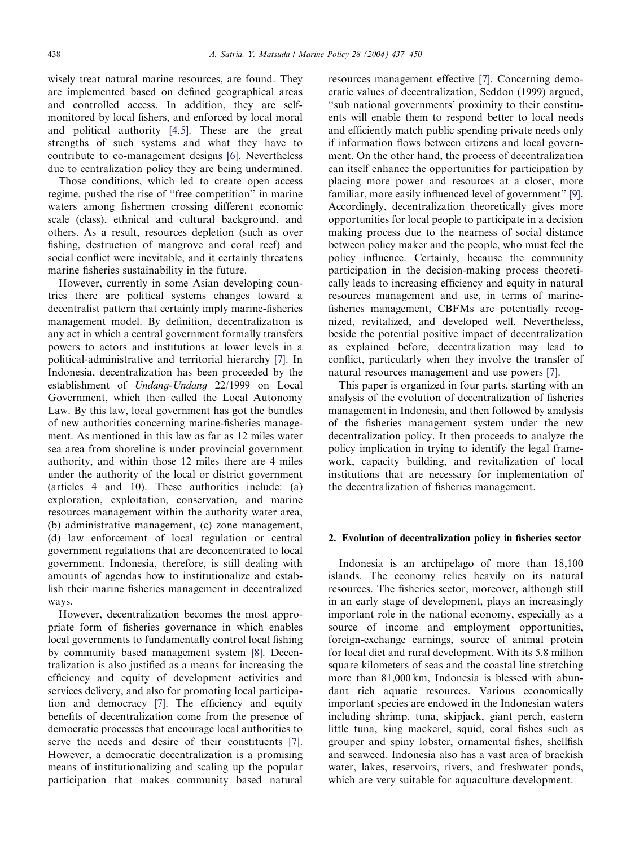wisely treat natural marine resources, are found. They are implemented based on defined geographical areas and controlled access. In addition, they are selfmonitored by local fishers, and enforced by local moral and political authority  $[4,5]$ . These are the great strengths of such systems andwhat they have to contribute to co-management designs [\[6\]](#page-12-0). Nevertheless due to centralization policy they are being undermined.

Those conditions, which led to create open access regime, pushed the rise of "free competition" in marine waters among fishermen crossing different economic scale (class), ethnical and cultural background, and others. As a result, resources depletion (such as over fishing, destruction of mangrove and coral reef) and social conflict were inevitable, and it certainly threatens marine fisheries sustainability in the future.

However, currently in some Asian developing countries there are political systems changes toward a decentralist pattern that certainly imply marine-fisheries management model. By definition, decentralization is any act in which a central government formally transfers powers to actors and institutions at lower levels in a political-administrative and territorial hierarchy [\[7\].](#page-12-0) In Indonesia, decentralization has been proceeded by the establishment of Undang-Undang 22/1999 on Local Government, which then called the Local Autonomy Law. By this law, local government has got the bundles of new authorities concerning marine-fisheries management. As mentioned in this law as far as 12 miles water sea area from shoreline is under provincial government authority, andwithin those 12 miles there are 4 miles under the authority of the local or district government (articles  $4$  and  $10$ ). These authorities include: (a) exploration, exploitation, conservation, and marine resources management within the authority water area, (b) administrative management, (c) zone management, (d) law enforcement of local regulation or central government regulations that are deconcentrated to local government. Indonesia, therefore, is still dealing with amounts of agendas how to institutionalize and establish their marine fisheries management in decentralized ways.

However, decentralization becomes the most appropriate form of fisheries governance in which enables local governments to fundamentally control local fishing by community based management system [\[8\]](#page-12-0). Decentralization is also justified as a means for increasing the efficiency and equity of development activities and services delivery, and also for promoting local participa-tion and democracy [\[7\]](#page-12-0). The efficiency and equity benefits of decentralization come from the presence of democratic processes that encourage local authorities to serve the needs and desire of their constituents [\[7\]](#page-12-0). However, a democratic decentralization is a promising means of institutionalizing and scaling up the popular participation that makes community based natural resources management effective [\[7\].](#page-12-0) Concerning democratic values of decentralization, Seddon (1999) argued, ''sub national governments' proximity to their constituents will enable them to respond better to local needs and efficiently match public spending private needs only if information flows between citizens and local government. On the other hand, the process of decentralization can itself enhance the opportunities for participation by placing more power and resources at a closer, more familiar, more easily influenced level of government" [\[9\]](#page-12-0). Accordingly, decentralization theoretically gives more opportunities for local people to participate in a decision making process due to the nearness of social distance between policy maker and the people, who must feel the policy influence. Certainly, because the community participation in the decision-making process theoretically leads to increasing efficiency and equity in natural resources management and use, in terms of marinefisheries management, CBFMs are potentially recognized, revitalized, and developed well. Nevertheless, beside the potential positive impact of decentralization as explained before, decentralization may lead to conflict, particularly when they involve the transfer of natural resources management and use powers [\[7\]](#page-12-0).

This paper is organized in four parts, starting with an analysis of the evolution of decentralization of fisheries management in Indonesia, and then followed by analysis of the fisheries management system under the new decentralization policy. It then proceeds to analyze the policy implication in trying to identify the legal framework, capacity building, and revitalization of local institutions that are necessary for implementation of the decentralization of fisheries management.

### 2. Evolution of decentralization policy in fisheries sector

Indonesia is an archipelago of more than 18,100 islands. The economy relies heavily on its natural resources. The fisheries sector, moreover, although still in an early stage of development, plays an increasingly important role in the national economy, especially as a source of income and employment opportunities, foreign-exchange earnings, source of animal protein for local diet and rural development. With its 5.8 million square kilometers of seas and the coastal line stretching more than 81,000 km, Indonesia is blessed with abundant rich aquatic resources. Various economically important species are endowed in the Indonesian waters including shrimp, tuna, skipjack, giant perch, eastern little tuna, king mackerel, squid, coral fishes such as grouper and spiny lobster, ornamental fishes, shellfish and seaweed. Indonesia also has a vast area of brackish water, lakes, reservoirs, rivers, and freshwater ponds, which are very suitable for aquaculture development.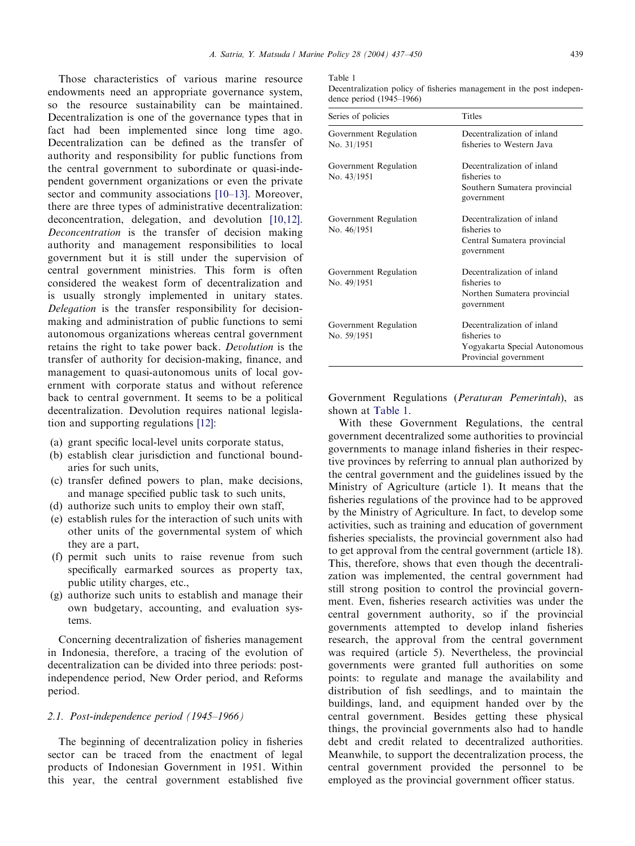Those characteristics of various marine resource endowments need an appropriate governance system, so the resource sustainability can be maintained. Decentralization is one of the governance types that in fact had been implemented since long time ago. Decentralization can be defined as the transfer of authority and responsibility for public functions from the central government to subordinate or quasi-independent government organizations or even the private sector and community associations  $[10-13]$ . Moreover, there are three types of administrative decentralization: deconcentration, delegation, and devolution [\[10,12\]](#page-12-0). Deconcentration is the transfer of decision making authority and management responsibilities to local government but it is still under the supervision of central government ministries. This form is often considered the weakest form of decentralization and is usually strongly implemented in unitary states. Delegation is the transfer responsibility for decisionmaking and administration of public functions to semi autonomous organizations whereas central government retains the right to take power back. Devolution is the transfer of authority for decision-making, finance, and management to quasi-autonomous units of local government with corporate status and without reference back to central government. It seems to be a political decentralization. Devolution requires national legisla-tion and supporting regulations [\[12\]](#page-12-0):

- (a) grant specific local-level units corporate status,
- (b) establish clear jurisdiction and functional boundaries for such units,
- (c) transfer defined powers to plan, make decisions, and manage specified public task to such units,
- (d) authorize such units to employ their own staff,
- (e) establish rules for the interaction of such units with other units of the governmental system of which they are a part,
- (f) permit such units to raise revenue from such specifically earmarked sources as property tax, public utility charges, etc.,
- (g) authorize such units to establish andmanage their own budgetary, accounting, and evaluation systems.

Concerning decentralization of fisheries management in Indonesia, therefore, a tracing of the evolution of decentralization can be divided into three periods: postindependence period, New Order period, and Reforms period.

### 2.1. Post-independence period (1945–1966)

The beginning of decentralization policy in fisheries sector can be traced from the enactment of legal products of Indonesian Government in 1951. Within this year, the central government established five

#### Table 1

Decentralization policy of fisheries management in the post independence period (1945–1966)

| Series of policies                   | <b>Titles</b>                                                                                        |
|--------------------------------------|------------------------------------------------------------------------------------------------------|
| Government Regulation<br>No. 31/1951 | Decentralization of inland<br>fisheries to Western Java                                              |
| Government Regulation<br>No. 43/1951 | Decentralization of inland<br>fisheries to<br>Southern Sumatera provincial<br>government             |
| Government Regulation<br>No. 46/1951 | Decentralization of inland<br>fisheries to<br>Central Sumatera provincial<br>government              |
| Government Regulation<br>No. 49/1951 | Decentralization of inland<br>fisheries to<br>Northen Sumatera provincial<br>government              |
| Government Regulation<br>No. 59/1951 | Decentralization of inland<br>fisheries to<br>Yogyakarta Special Autonomous<br>Provincial government |

Government Regulations (Peraturan Pemerintah), as shown at Table 1.

With these Government Regulations, the central government decentralized some authorities to provincial governments to manage inland fisheries in their respective provinces by referring to annual plan authorized by the central government and the guidelines issued by the Ministry of Agriculture (article 1). It means that the fisheries regulations of the province had to be approved by the Ministry of Agriculture. In fact, to develop some activities, such as training and education of government fisheries specialists, the provincial government also had to get approval from the central government (article 18). This, therefore, shows that even though the decentralization was implemented, the central government had still strong position to control the provincial government. Even, fisheries research activities was under the central government authority, so if the provincial governments attempted to develop inland fisheries research, the approval from the central government was required (article 5). Nevertheless, the provincial governments were granted full authorities on some points: to regulate andmanage the availability and distribution of fish seedlings, and to maintain the buildings, land, and equipment handed over by the central government. Besides getting these physical things, the provincial governments also had to handle debt and credit related to decentralized authorities. Meanwhile, to support the decentralization process, the central government provided the personnel to be employed as the provincial government officer status.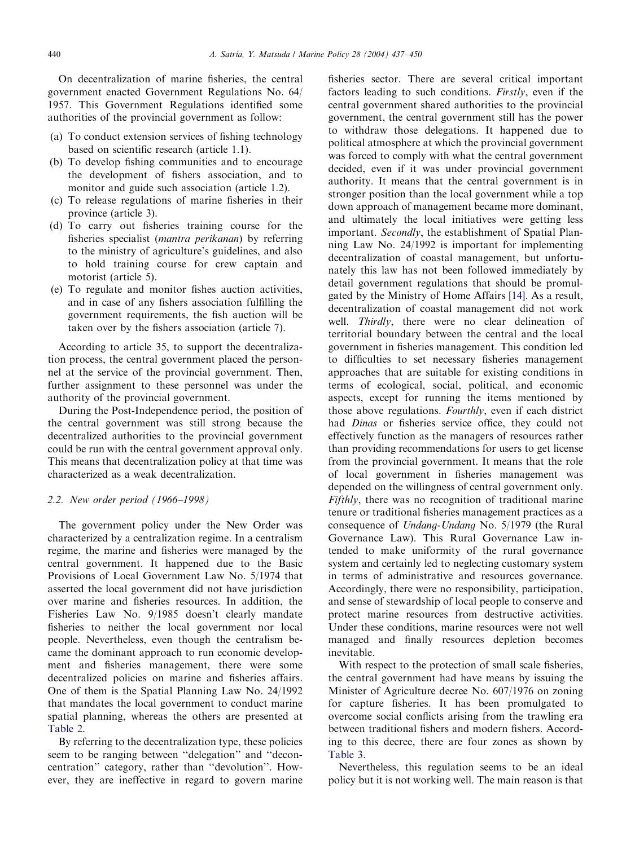On decentralization of marine fisheries, the central government enacted Government Regulations No. 64/ 1957. This Government Regulations identified some authorities of the provincial government as follow:

- (a) To conduct extension services of fishing technology based on scientific research (article 1.1).
- (b) To develop fishing communities and to encourage the development of fishers association, and to monitor and guide such association (article 1.2).
- (c) To release regulations of marine fisheries in their province (article 3).
- (d) To carry out fisheries training course for the fisheries specialist *(mantra perikanan)* by referring to the ministry of agriculture's guidelines, and also to hold training course for crew captain and motorist (article 5).
- (e) To regulate andmonitor fishes auction activities, and in case of any fishers association fulfilling the government requirements, the fish auction will be taken over by the fishers association (article 7).

According to article 35, to support the decentralization process, the central government placed the personnel at the service of the provincial government. Then, further assignment to these personnel was under the authority of the provincial government.

During the Post-Independence period, the position of the central government was still strong because the decentralized authorities to the provincial government could be run with the central government approval only. This means that decentralization policy at that time was characterizedas a weak decentralization.

## 2.2. New order period (1966–1998)

The government policy under the New Order was characterizedby a centralization regime. In a centralism regime, the marine and fisheries were managed by the central government. It happened due to the Basic Provisions of Local Government Law No. 5/1974 that asserted the local government did not have jurisdiction over marine and fisheries resources. In addition, the Fisheries Law No. 9/1985 doesn't clearly mandate fisheries to neither the local government nor local people. Nevertheless, even though the centralism became the dominant approach to run economic development and fisheries management, there were some decentralized policies on marine and fisheries affairs. One of them is the Spatial Planning Law No. 24/1992 that mandates the local government to conduct marine spatial planning, whereas the others are presented at [Table 2](#page-4-0).

By referring to the decentralization type, these policies seem to be ranging between ''delegation'' and ''deconcentration'' category, rather than ''devolution''. However, they are ineffective in regard to govern marine

fisheries sector. There are several critical important factors leading to such conditions. Firstly, even if the central government shared authorities to the provincial government, the central government still has the power to withdraw those delegations. It happened due to political atmosphere at which the provincial government was forced to comply with what the central government decided, even if it was under provincial government authority. It means that the central government is in stronger position than the local government while a top down approach of management became more dominant, and ultimately the local initiatives were getting less important. Secondly, the establishment of Spatial Planning Law No. 24/1992 is important for implementing decentralization of coastal management, but unfortunately this law has not been followed immediately by detail government regulations that should be promul-gated by the Ministry of Home Affairs [\[14\].](#page-12-0) As a result, decentralization of coastal management did not work well. *Thirdly*, there were no clear delineation of territorial boundary between the central and the local government in fisheries management. This condition led to difficulties to set necessary fisheries management approaches that are suitable for existing conditions in terms of ecological, social, political, and economic aspects, except for running the items mentioned by those above regulations. Fourthly, even if each district had Dinas or fisheries service office, they could not effectively function as the managers of resources rather than providing recommendations for users to get license from the provincial government. It means that the role of local government in fisheries management was depended on the willingness of central government only. Fifthly, there was no recognition of traditional marine tenure or traditional fisheries management practices as a consequence of Undang-Undang No. 5/1979 (the Rural Governance Law). This Rural Governance Law intended to make uniformity of the rural governance system and certainly led to neglecting customary system in terms of administrative and resources governance. Accordingly, there were no responsibility, participation, and sense of stewardship of local people to conserve and protect marine resources from destructive activities. Under these conditions, marine resources were not well managed and finally resources depletion becomes inevitable.

With respect to the protection of small scale fisheries, the central government had have means by issuing the Minister of Agriculture decree No. 607/1976 on zoning for capture fisheries. It has been promulgated to overcome social conflicts arising from the trawling era between traditional fishers and modern fishers. According to this decree, there are four zones as shown by [Table 3](#page-5-0).

Nevertheless, this regulation seems to be an ideal policy but it is not working well. The main reason is that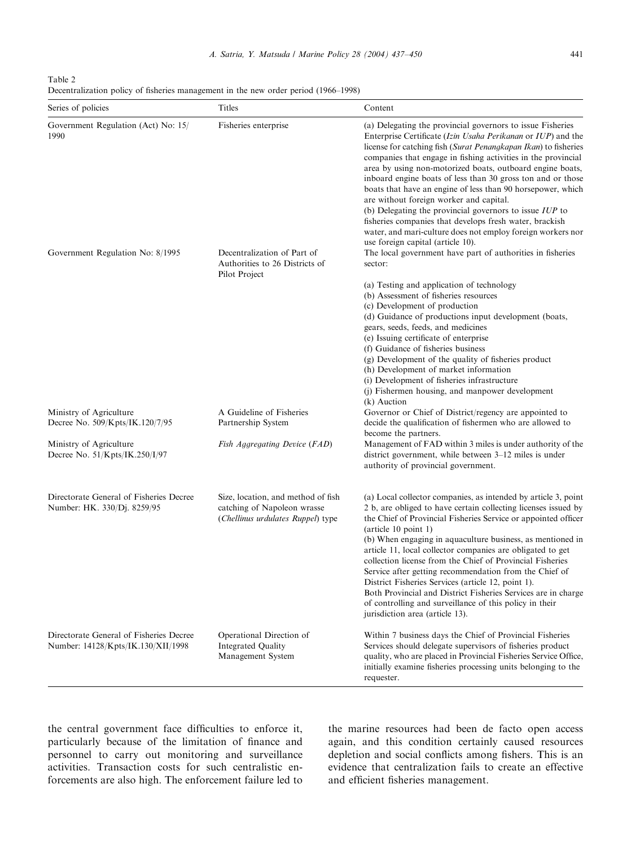<span id="page-4-0"></span>Table 2 Decentralization policy of fisheries management in the new order period (1966–1998)

| Series of policies                                                            | Titles                                                                                                 | Content                                                                                                                                                                                                                                                                                                                                                                                                                                                                                                                                                                                                                                                                                                                          |
|-------------------------------------------------------------------------------|--------------------------------------------------------------------------------------------------------|----------------------------------------------------------------------------------------------------------------------------------------------------------------------------------------------------------------------------------------------------------------------------------------------------------------------------------------------------------------------------------------------------------------------------------------------------------------------------------------------------------------------------------------------------------------------------------------------------------------------------------------------------------------------------------------------------------------------------------|
| Government Regulation (Act) No: 15/<br>1990                                   | Fisheries enterprise                                                                                   | (a) Delegating the provincial governors to issue Fisheries<br>Enterprise Certificate (Izin Usaha Perikanan or IUP) and the<br>license for catching fish (Surat Penangkapan Ikan) to fisheries<br>companies that engage in fishing activities in the provincial<br>area by using non-motorized boats, outboard engine boats,<br>inboard engine boats of less than 30 gross ton and or those<br>boats that have an engine of less than 90 horsepower, which<br>are without foreign worker and capital.<br>(b) Delegating the provincial governors to issue $IUP$ to<br>fisheries companies that develops fresh water, brackish<br>water, and mari-culture does not employ foreign workers nor<br>use foreign capital (article 10). |
| Government Regulation No: 8/1995                                              | Decentralization of Part of<br>Authorities to 26 Districts of<br>Pilot Project                         | The local government have part of authorities in fisheries<br>sector:                                                                                                                                                                                                                                                                                                                                                                                                                                                                                                                                                                                                                                                            |
|                                                                               |                                                                                                        | (a) Testing and application of technology<br>(b) Assessment of fisheries resources<br>(c) Development of production<br>(d) Guidance of productions input development (boats,<br>gears, seeds, feeds, and medicines<br>(e) Issuing certificate of enterprise<br>(f) Guidance of fisheries business<br>(g) Development of the quality of fisheries product<br>(h) Development of market information<br>(i) Development of fisheries infrastructure<br>(j) Fishermen housing, and manpower development<br>(k) Auction                                                                                                                                                                                                               |
| Ministry of Agriculture<br>Decree No. 509/Kpts/IK.120/7/95                    | A Guideline of Fisheries<br>Partnership System                                                         | Governor or Chief of District/regency are appointed to<br>decide the qualification of fishermen who are allowed to                                                                                                                                                                                                                                                                                                                                                                                                                                                                                                                                                                                                               |
| Ministry of Agriculture<br>Decree No. 51/Kpts/IK.250/I/97                     | Fish Aggregating Device (FAD)                                                                          | become the partners.<br>Management of FAD within 3 miles is under authority of the<br>district government, while between 3–12 miles is under<br>authority of provincial government.                                                                                                                                                                                                                                                                                                                                                                                                                                                                                                                                              |
| Directorate General of Fisheries Decree<br>Number: HK. 330/Dj. 8259/95        | Size, location, and method of fish<br>catching of Napoleon wrasse<br>(Chellinus urdulates Ruppel) type | (a) Local collector companies, as intended by article 3, point<br>2 b, are obliged to have certain collecting licenses issued by<br>the Chief of Provincial Fisheries Service or appointed officer<br>$(\text{article } 10 \text{ point } 1)$<br>(b) When engaging in aquaculture business, as mentioned in<br>article 11, local collector companies are obligated to get<br>collection license from the Chief of Provincial Fisheries<br>Service after getting recommendation from the Chief of<br>District Fisheries Services (article 12, point 1).<br>Both Provincial and District Fisheries Services are in charge<br>of controlling and surveillance of this policy in their<br>jurisdiction area (article 13).            |
| Directorate General of Fisheries Decree<br>Number: 14128/Kpts/IK.130/XII/1998 | Operational Direction of<br>Integrated Quality<br>Management System                                    | Within 7 business days the Chief of Provincial Fisheries<br>Services should delegate supervisors of fisheries product<br>quality, who are placed in Provincial Fisheries Service Office,<br>initially examine fisheries processing units belonging to the<br>requester.                                                                                                                                                                                                                                                                                                                                                                                                                                                          |

the central government face difficulties to enforce it, particularly because of the limitation of finance and personnel to carry out monitoring and surveillance activities. Transaction costs for such centralistic enforcements are also high. The enforcement failure led to

the marine resources had been de facto open access again, and this condition certainly caused resources depletion and social conflicts among fishers. This is an evidence that centralization fails to create an effective and efficient fisheries management.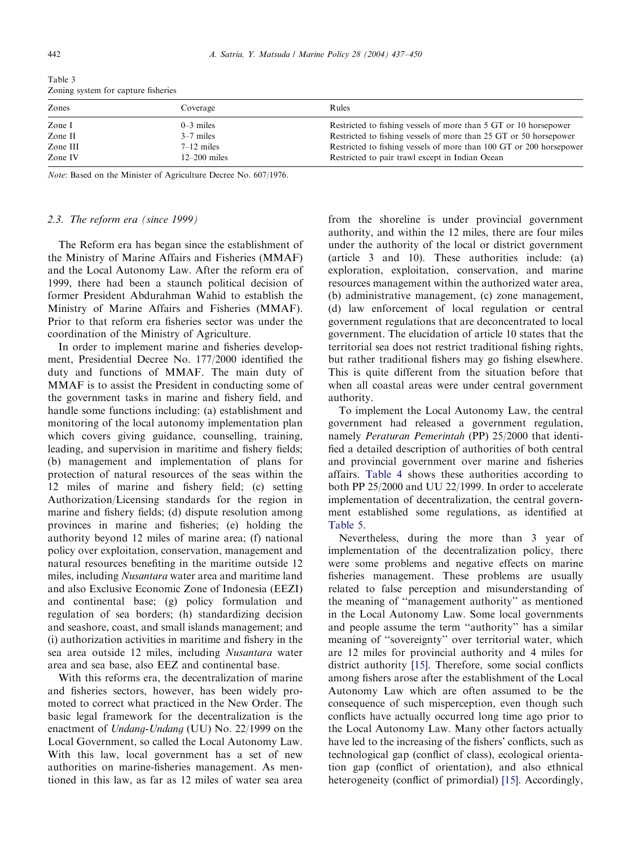| Zones    | Coverage       | Rules                                                               |
|----------|----------------|---------------------------------------------------------------------|
| Zone I   | $0-3$ miles    | Restricted to fishing vessels of more than 5 GT or 10 horsepower    |
| Zone II  | $3-7$ miles    | Restricted to fishing vessels of more than 25 GT or 50 horsepower   |
| Zone III | $7-12$ miles   | Restricted to fishing vessels of more than 100 GT or 200 horsepower |
| Zone IV  | $12-200$ miles | Restricted to pair trawl except in Indian Ocean                     |
|          |                |                                                                     |

<span id="page-5-0"></span>Table 3 Zoning system for capture fisheries

Note: Based on the Minister of Agriculture Decree No. 607/1976.

#### 2.3. The reform era (since 1999)

The Reform era has began since the establishment of the Ministry of Marine Affairs and Fisheries (MMAF) and the Local Autonomy Law. After the reform era of 1999, there had been a staunch political decision of former President Abdurahman Wahid to establish the Ministry of Marine Affairs and Fisheries (MMAF). Prior to that reform era fisheries sector was under the coordination of the Ministry of Agriculture.

In order to implement marine and fisheries development, Presidential Decree No. 177/2000 identified the duty and functions of MMAF. The main duty of MMAF is to assist the President in conducting some of the government tasks in marine and fishery field, and handle some functions including: (a) establishment and monitoring of the local autonomy implementation plan which covers giving guidance, counselling, training, leading, and supervision in maritime and fishery fields; (b) management andimplementation of plans for protection of natural resources of the seas within the 12 miles of marine and fishery field; (c) setting Authorization/Licensing standards for the region in marine and fishery fields; (d) dispute resolution among provinces in marine and fisheries; (e) holding the authority beyond12 miles of marine area; (f) national policy over exploitation, conservation, management and natural resources benefiting in the maritime outside 12 miles, including *Nusantara* water area and maritime land andalso Exclusive Economic Zone of Indonesia (EEZI) and continental base; (g) policy formulation and regulation of sea borders; (h) standardizing decision and seashore, coast, and small islands management; and (i) authorization activities in maritime andfishery in the sea area outside 12 miles, including Nusantara water area and sea base, also EEZ and continental base.

With this reforms era, the decentralization of marine and fisheries sectors, however, has been widely promoted to correct what practiced in the New Order. The basic legal framework for the decentralization is the enactment of Undang-Undang (UU) No. 22/1999 on the Local Government, so called the Local Autonomy Law. With this law, local government has a set of new authorities on marine-fisheries management. As mentioned in this law, as far as 12 miles of water sea area from the shoreline is under provincial government authority, andwithin the 12 miles, there are four miles under the authority of the local or district government (article  $3$  and  $10$ ). These authorities include: (a) exploration, exploitation, conservation, and marine resources management within the authorized water area, (b) administrative management, (c) zone management, (d) law enforcement of local regulation or central government regulations that are deconcentrated to local government. The elucidation of article 10 states that the territorial sea does not restrict traditional fishing rights, but rather traditional fishers may go fishing elsewhere. This is quite different from the situation before that when all coastal areas were under central government authority.

To implement the Local Autonomy Law, the central government had released a government regulation, namely Peraturan Pemerintah (PP) 25/2000 that identified a detailed description of authorities of both central and provincial government over marine and fisheries affairs. [Table 4](#page-6-0) shows these authorities according to both PP  $25/2000$  and UU 22/1999. In order to accelerate implementation of decentralization, the central government established some regulations, as identified at [Table 5](#page-7-0).

Nevertheless, during the more than 3 year of implementation of the decentralization policy, there were some problems and negative effects on marine fisheries management. These problems are usually related to false perception and misunderstanding of the meaning of ''management authority'' as mentioned in the Local Autonomy Law. Some local governments and people assume the term "authority" has a similar meaning of ''sovereignty'' over territorial water, which are 12 miles for provincial authority and 4 miles for district authority [\[15\]](#page-12-0). Therefore, some social conflicts among fishers arose after the establishment of the Local Autonomy Law which are often assumed to be the consequence of such misperception, even though such conflicts have actually occurred long time ago prior to the Local Autonomy Law. Many other factors actually have led to the increasing of the fishers' conflicts, such as technological gap (conflict of class), ecological orientation gap (conflict of orientation), and also ethnical heterogeneity (conflict of primordial) [\[15\]](#page-12-0). Accordingly,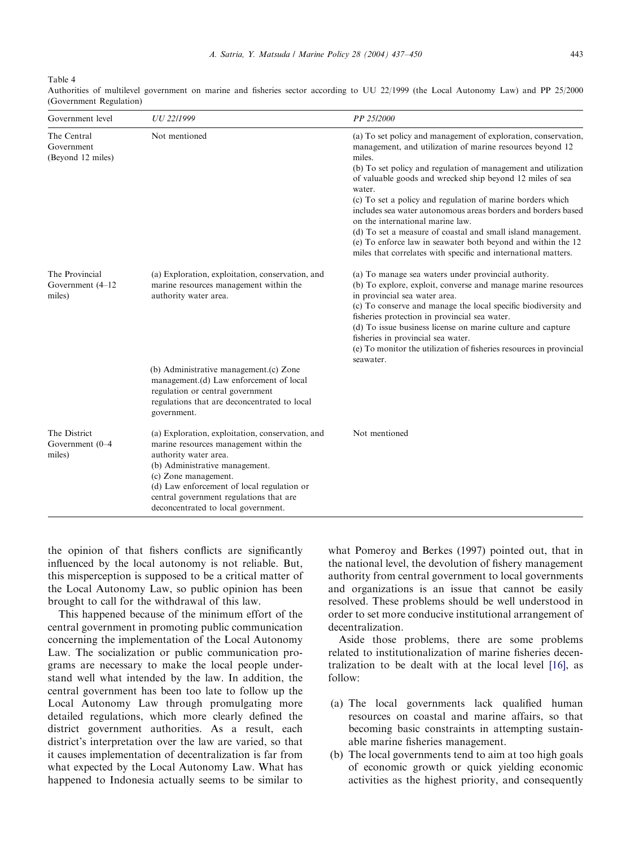<span id="page-6-0"></span>Table 4

| Government level                               | UU 22/1999                                                                                                                                                                                                                                                                                                    | PP 25/2000                                                                                                                                                                                                                                                                                                                                                                                                                                                                                                                                                                                                                                          |
|------------------------------------------------|---------------------------------------------------------------------------------------------------------------------------------------------------------------------------------------------------------------------------------------------------------------------------------------------------------------|-----------------------------------------------------------------------------------------------------------------------------------------------------------------------------------------------------------------------------------------------------------------------------------------------------------------------------------------------------------------------------------------------------------------------------------------------------------------------------------------------------------------------------------------------------------------------------------------------------------------------------------------------------|
| The Central<br>Government<br>(Beyond 12 miles) | Not mentioned                                                                                                                                                                                                                                                                                                 | (a) To set policy and management of exploration, conservation,<br>management, and utilization of marine resources beyond 12<br>miles.<br>(b) To set policy and regulation of management and utilization<br>of valuable goods and wrecked ship beyond 12 miles of sea<br>water.<br>(c) To set a policy and regulation of marine borders which<br>includes sea water autonomous areas borders and borders based<br>on the international marine law.<br>(d) To set a measure of coastal and small island management.<br>(e) To enforce law in seawater both beyond and within the 12<br>miles that correlates with specific and international matters. |
| The Provincial<br>Government (4-12)<br>miles)  | (a) Exploration, exploitation, conservation, and<br>marine resources management within the<br>authority water area.                                                                                                                                                                                           | (a) To manage sea waters under provincial authority.<br>(b) To explore, exploit, converse and manage marine resources<br>in provincial sea water area.<br>(c) To conserve and manage the local specific biodiversity and<br>fisheries protection in provincial sea water.<br>(d) To issue business license on marine culture and capture<br>fisheries in provincial sea water.<br>(e) To monitor the utilization of fisheries resources in provincial<br>seawater.                                                                                                                                                                                  |
|                                                | (b) Administrative management.(c) Zone<br>management.(d) Law enforcement of local<br>regulation or central government<br>regulations that are deconcentrated to local<br>government.                                                                                                                          |                                                                                                                                                                                                                                                                                                                                                                                                                                                                                                                                                                                                                                                     |
| The District<br>Government (0-4<br>miles)      | (a) Exploration, exploitation, conservation, and<br>marine resources management within the<br>authority water area.<br>(b) Administrative management.<br>(c) Zone management.<br>(d) Law enforcement of local regulation or<br>central government regulations that are<br>deconcentrated to local government. | Not mentioned                                                                                                                                                                                                                                                                                                                                                                                                                                                                                                                                                                                                                                       |

Authorities of multilevel government on marine and fisheries sector according to UU 22/1999 (the Local Autonomy Law) and PP 25/2000 (Government Regulation)

the opinion of that fishers conflicts are significantly influenced by the local autonomy is not reliable. But, this misperception is supposed to be a critical matter of the Local Autonomy Law, so public opinion has been brought to call for the withdrawal of this law.

This happened because of the minimum effort of the central government in promoting public communication concerning the implementation of the Local Autonomy Law. The socialization or public communication programs are necessary to make the local people understand well what intended by the law. In addition, the central government has been too late to follow up the Local Autonomy Law through promulgating more detailed regulations, which more clearly defined the district government authorities. As a result, each district's interpretation over the law are varied, so that it causes implementation of decentralization is far from what expected by the Local Autonomy Law. What has happened to Indonesia actually seems to be similar to

what Pomeroy and Berkes (1997) pointed out, that in the national level, the devolution of fishery management authority from central government to local governments and organizations is an issue that cannot be easily resolved. These problems should be well understood in order to set more conducive institutional arrangement of decentralization.

Aside those problems, there are some problems related to institutionalization of marine fisheries decentralization to be dealt with at the local level [\[16\],](#page-12-0) as follow:

- (a) The local governments lack qualified human resources on coastal and marine affairs, so that becoming basic constraints in attempting sustainable marine fisheries management.
- (b) The local governments tend to aim at too high goals of economic growth or quick yielding economic activities as the highest priority, and consequently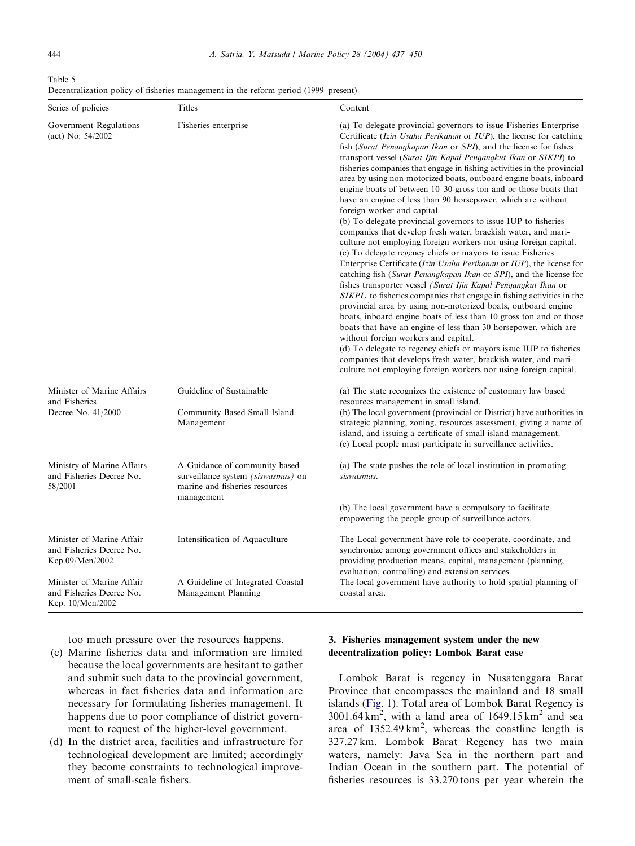<span id="page-7-0"></span>Table 5 Decentralization policy of fisheries management in the reform period (1999–present)

| Series of policies                                                        | Titles                                                                                                              | Content                                                                                                                                                                                                                                                                                                                                                                                                                                                                                                                                                                                                                                                                                                                                                                                                                                                                                                                                                                                                                                                                                                                                                                                                                                                                                                                                                                                                                                                                                                                                                                                                                                             |  |
|---------------------------------------------------------------------------|---------------------------------------------------------------------------------------------------------------------|-----------------------------------------------------------------------------------------------------------------------------------------------------------------------------------------------------------------------------------------------------------------------------------------------------------------------------------------------------------------------------------------------------------------------------------------------------------------------------------------------------------------------------------------------------------------------------------------------------------------------------------------------------------------------------------------------------------------------------------------------------------------------------------------------------------------------------------------------------------------------------------------------------------------------------------------------------------------------------------------------------------------------------------------------------------------------------------------------------------------------------------------------------------------------------------------------------------------------------------------------------------------------------------------------------------------------------------------------------------------------------------------------------------------------------------------------------------------------------------------------------------------------------------------------------------------------------------------------------------------------------------------------------|--|
| Government Regulations<br>(act) No: 54/2002                               | Fisheries enterprise                                                                                                | (a) To delegate provincial governors to issue Fisheries Enterprise<br>Certificate (Izin Usaha Perikanan or IUP), the license for catching<br>fish (Surat Penangkapan Ikan or SPI), and the license for fishes<br>transport vessel (Surat Ijin Kapal Pengangkut Ikan or SIKPI) to<br>fisheries companies that engage in fishing activities in the provincial<br>area by using non-motorized boats, outboard engine boats, inboard<br>engine boats of between $10-30$ gross ton and or those boats that<br>have an engine of less than 90 horsepower, which are without<br>foreign worker and capital.<br>(b) To delegate provincial governors to issue IUP to fisheries<br>companies that develop fresh water, brackish water, and mari-<br>culture not employing foreign workers nor using foreign capital.<br>(c) To delegate regency chiefs or mayors to issue Fisheries<br>Enterprise Certificate ( <i>Izin Usaha Perikanan</i> or <i>IUP</i> ), the license for<br>catching fish (Surat Penangkapan Ikan or SPI), and the license for<br>fishes transporter vessel (Surat Ijin Kapal Pengangkut Ikan or<br>SIKPI) to fisheries companies that engage in fishing activities in the<br>provincial area by using non-motorized boats, outboard engine<br>boats, inboard engine boats of less than 10 gross ton and or those<br>boats that have an engine of less than 30 horsepower, which are<br>without foreign workers and capital.<br>(d) To delegate to regency chiefs or mayors issue IUP to fisheries<br>companies that develops fresh water, brackish water, and mari-<br>culture not employing foreign workers nor using foreign capital. |  |
| Minister of Marine Affairs<br>and Fisheries<br>Decree No. 41/2000         | Guideline of Sustainable<br>Community Based Small Island<br>Management                                              | (a) The state recognizes the existence of customary law based<br>resources management in small island.<br>(b) The local government (provincial or District) have authorities in<br>strategic planning, zoning, resources assessment, giving a name of<br>island, and issuing a certificate of small island management.<br>(c) Local people must participate in surveillance activities.                                                                                                                                                                                                                                                                                                                                                                                                                                                                                                                                                                                                                                                                                                                                                                                                                                                                                                                                                                                                                                                                                                                                                                                                                                                             |  |
| Ministry of Marine Affairs<br>and Fisheries Decree No.<br>58/2001         | A Guidance of community based<br>surveillance system (siswasmas) on<br>marine and fisheries resources<br>management | (a) The state pushes the role of local institution in promoting<br>siswasmas.                                                                                                                                                                                                                                                                                                                                                                                                                                                                                                                                                                                                                                                                                                                                                                                                                                                                                                                                                                                                                                                                                                                                                                                                                                                                                                                                                                                                                                                                                                                                                                       |  |
|                                                                           |                                                                                                                     | (b) The local government have a compulsory to facilitate<br>empowering the people group of surveillance actors.                                                                                                                                                                                                                                                                                                                                                                                                                                                                                                                                                                                                                                                                                                                                                                                                                                                                                                                                                                                                                                                                                                                                                                                                                                                                                                                                                                                                                                                                                                                                     |  |
| Minister of Marine Affair<br>and Fisheries Decree No.<br>Kep.09/Men/2002  | Intensification of Aquaculture                                                                                      | The Local government have role to cooperate, coordinate, and<br>synchronize among government offices and stakeholders in<br>providing production means, capital, management (planning,<br>evaluation, controlling) and extension services.<br>The local government have authority to hold spatial planning of<br>coastal area.                                                                                                                                                                                                                                                                                                                                                                                                                                                                                                                                                                                                                                                                                                                                                                                                                                                                                                                                                                                                                                                                                                                                                                                                                                                                                                                      |  |
| Minister of Marine Affair<br>and Fisheries Decree No.<br>Kep. 10/Men/2002 | A Guideline of Integrated Coastal<br>Management Planning                                                            |                                                                                                                                                                                                                                                                                                                                                                                                                                                                                                                                                                                                                                                                                                                                                                                                                                                                                                                                                                                                                                                                                                                                                                                                                                                                                                                                                                                                                                                                                                                                                                                                                                                     |  |

too much pressure over the resources happens.

- (c) Marine fisheries data and information are limited because the local governments are hesitant to gather and submit such data to the provincial government, whereas in fact fisheries data and information are necessary for formulating fisheries management. It happens due to poor compliance of district government to request of the higher-level government.
- (d) In the district area, facilities and infrastructure for technological development are limited; accordingly they become constraints to technological improvement of small-scale fishers.

## 3. Fisheries management system under the new decentralization policy: Lombok Barat case

Lombok Barat is regency in Nusatenggara Barat Province that encompasses the mainland and 18 small islands [\(Fig. 1\)](#page-8-0). Total area of Lombok Barat Regency is  $3001.64 \text{ km}^2$ , with a land area of  $1649.15 \text{ km}^2$  and sea area of  $1352.49 \text{ km}^2$ , whereas the coastline length is 327.27 km. Lombok Barat Regency has two main waters, namely: Java Sea in the northern part and Indian Ocean in the southern part. The potential of fisheries resources is 33,270 tons per year wherein the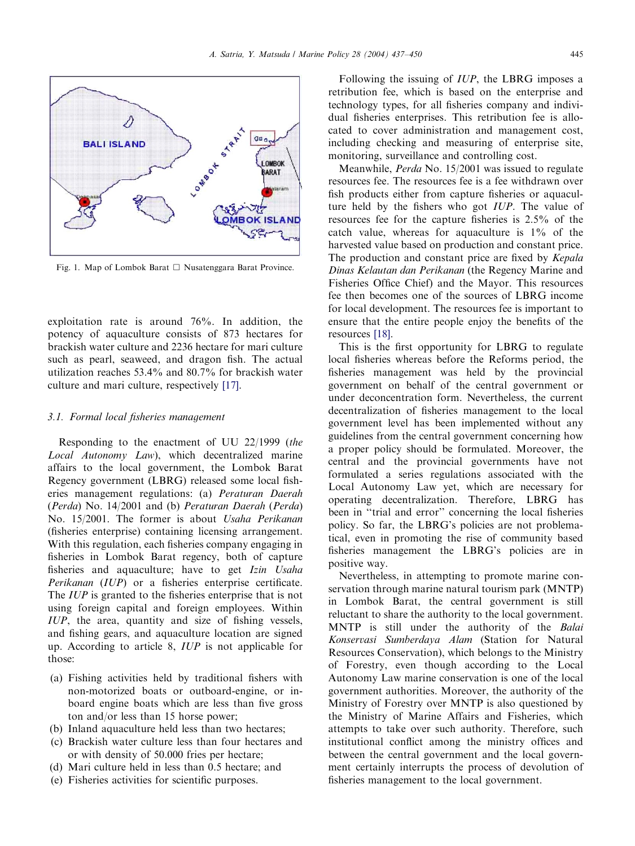<span id="page-8-0"></span>

Fig. 1. Map of Lombok Barat  $\Box$  Nusatenggara Barat Province.

exploitation rate is around 76%. In addition, the potency of aquaculture consists of 873 hectares for brackish water culture and2236 hectare for mari culture such as pearl, seaweed, and dragon fish. The actual utilization reaches 53.4% and 80.7% for brackish water culture and mari culture, respectively [\[17\].](#page-12-0)

#### 3.1. Formal local fisheries management

Responding to the enactment of UU 22/1999 (the Local Autonomy Law), which decentralized marine affairs to the local government, the Lombok Barat Regency government (LBRG) released some local fisheries management regulations: (a) Peraturan Daerah (Perda) No. 14/2001 and (b) Peraturan Daerah (Perda) No. 15/2001. The former is about Usaha Perikanan (fisheries enterprise) containing licensing arrangement. With this regulation, each fisheries company engaging in fisheries in Lombok Barat regency, both of capture fisheries and aquaculture; have to get Izin Usaha Perikanan (IUP) or a fisheries enterprise certificate. The *IUP* is granted to the fisheries enterprise that is not using foreign capital and foreign employees. Within IUP, the area, quantity and size of fishing vessels, and fishing gears, and aquaculture location are signed up. According to article 8, IUP is not applicable for those:

- (a) Fishing activities held by traditional fishers with non-motorized boats or outboard-engine, or inboard engine boats which are less than five gross ton and/or less than 15 horse power;
- (b) Inland aquaculture held less than two hectares;
- (c) Brackish water culture less than four hectares and or with density of 50.000 fries per hectare;
- (d) Mari culture held in less than 0.5 hectare; and
- (e) Fisheries activities for scientific purposes.

Following the issuing of IUP, the LBRG imposes a retribution fee, which is based on the enterprise and technology types, for all fisheries company and individual fisheries enterprises. This retribution fee is allocated to cover administration and management cost, including checking and measuring of enterprise site, monitoring, surveillance and controlling cost.

Meanwhile, *Perda* No. 15/2001 was issued to regulate resources fee. The resources fee is a fee withdrawn over fish products either from capture fisheries or aquaculture held by the fishers who got  $IUP$ . The value of resources fee for the capture fisheries is 2.5% of the catch value, whereas for aquaculture is 1% of the harvested value based on production and constant price. The production and constant price are fixed by Kepala Dinas Kelautan dan Perikanan (the Regency Marine and Fisheries Office Chief) and the Mayor. This resources fee then becomes one of the sources of LBRG income for local development. The resources fee is important to ensure that the entire people enjoy the benefits of the resources [\[18\]](#page-12-0).

This is the first opportunity for LBRG to regulate local fisheries whereas before the Reforms period, the fisheries management was held by the provincial government on behalf of the central government or under deconcentration form. Nevertheless, the current decentralization of fisheries management to the local government level has been implemented without any guidelines from the central government concerning how a proper policy should be formulated. Moreover, the central and the provincial governments have not formulated a series regulations associated with the Local Autonomy Law yet, which are necessary for operating decentralization. Therefore, LBRG has been in "trial and error" concerning the local fisheries policy. So far, the LBRG's policies are not problematical, even in promoting the rise of community based fisheries management the LBRG's policies are in positive way.

Nevertheless, in attempting to promote marine conservation through marine natural tourism park (MNTP) in Lombok Barat, the central government is still reluctant to share the authority to the local government. MNTP is still under the authority of the Balai Konservasi Sumberdaya Alam (Station for Natural Resources Conservation), which belongs to the Ministry of Forestry, even though according to the Local Autonomy Law marine conservation is one of the local government authorities. Moreover, the authority of the Ministry of Forestry over MNTP is also questioned by the Ministry of Marine Affairs and Fisheries, which attempts to take over such authority. Therefore, such institutional conflict among the ministry offices and between the central government and the local government certainly interrupts the process of devolution of fisheries management to the local government.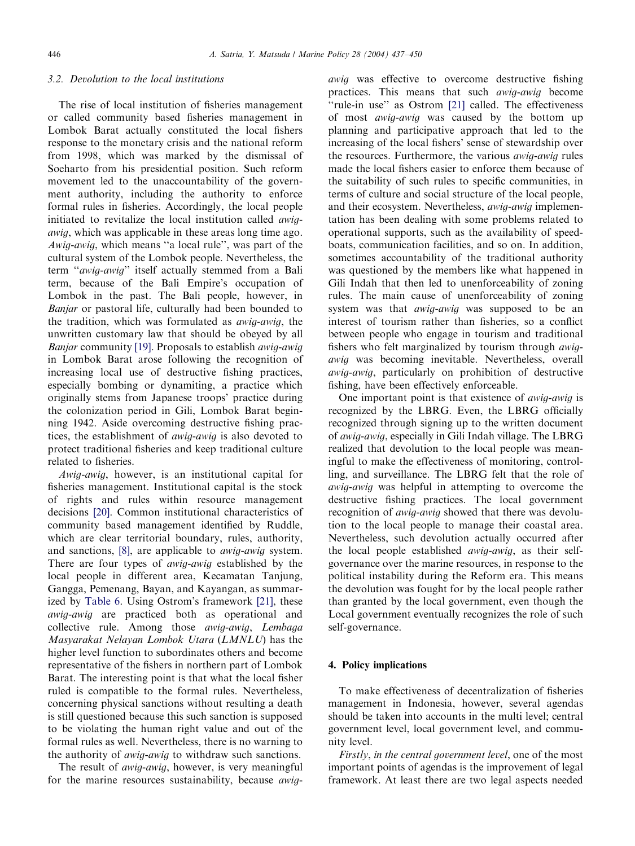## 3.2. Devolution to the local institutions

The rise of local institution of fisheries management or called community based fisheries management in Lombok Barat actually constituted the local fishers response to the monetary crisis and the national reform from 1998, which was marked by the dismissal of Soeharto from his presidential position. Such reform movement led to the unaccountability of the government authority, including the authority to enforce formal rules in fisheries. Accordingly, the local people initiated to revitalize the local institution called *awig*awig, which was applicable in these areas long time ago. Awig-awig, which means ''a local rule'', was part of the cultural system of the Lombok people. Nevertheless, the term "awig-awig" itself actually stemmed from a Bali term, because of the Bali Empire's occupation of Lombok in the past. The Bali people, however, in Banjar or pastoral life, culturally had been bounded to the tradition, which was formulated as awig-awig, the unwritten customary law that should be obeyed by all Banjar community [\[19\].](#page-12-0) Proposals to establish awig-awig in Lombok Barat arose following the recognition of increasing local use of destructive fishing practices, especially bombing or dynamiting, a practice which originally stems from Japanese troops' practice during the colonization period in Gili, Lombok Barat beginning 1942. Aside overcoming destructive fishing practices, the establishment of awig-awig is also devoted to protect traditional fisheries and keep traditional culture related to fisheries.

Awig-awig, however, is an institutional capital for fisheries management. Institutional capital is the stock of rights and rules within resource management decisions [\[20\].](#page-13-0) Common institutional characteristics of community based management identified by Ruddle, which are clear territorial boundary, rules, authority, and sanctions, [\[8\],](#page-12-0) are applicable to *awig-awig* system. There are four types of *awig-awig* established by the local people in different area, Kecamatan Tanjung, Gangga, Pemenang, Bayan, and Kayangan, as summar-ized by [Table 6](#page-10-0). Using Ostrom's framework [\[21\]](#page-13-0), these awig-awig are practiced both as operational and collective rule. Among those awig-awig, Lembaga Masyarakat Nelayan Lombok Utara (LMNLU) has the higher level function to subordinates others and become representative of the fishers in northern part of Lombok Barat. The interesting point is that what the local fisher ruled is compatible to the formal rules. Nevertheless, concerning physical sanctions without resulting a death is still questioned because this such sanction is supposed to be violating the human right value andout of the formal rules as well. Nevertheless, there is no warning to the authority of awig-awig to withdraw such sanctions.

The result of *awig-awig*, however, is very meaningful for the marine resources sustainability, because awigawig was effective to overcome destructive fishing practices. This means that such awig-awig become "rule-in use" as Ostrom [\[21\]](#page-13-0) called. The effectiveness of most *awig-awig* was caused by the bottom up planning and participative approach that led to the increasing of the local fishers' sense of stewardship over the resources. Furthermore, the various awig-awig rules made the local fishers easier to enforce them because of the suitability of such rules to specific communities, in terms of culture and social structure of the local people, and their ecosystem. Nevertheless, *awig-awig* implementation has been dealing with some problems related to operational supports, such as the availability of speedboats, communication facilities, and so on. In addition, sometimes accountability of the traditional authority was questioned by the members like what happened in Gili Indah that then led to unenforceability of zoning rules. The main cause of unenforceability of zoning system was that *awig-awig* was supposed to be an interest of tourism rather than fisheries, so a conflict between people who engage in tourism and traditional fishers who felt marginalized by tourism through awigawig was becoming inevitable. Nevertheless, overall awig-awig, particularly on prohibition of destructive fishing, have been effectively enforceable.

One important point is that existence of awig-awig is recognized by the LBRG. Even, the LBRG officially recognized through signing up to the written document of awig-awig, especially in Gili Indah village. The LBRG realized that devolution to the local people was meaningful to make the effectiveness of monitoring, controlling, and surveillance. The LBRG felt that the role of awig-awig was helpful in attempting to overcome the destructive fishing practices. The local government recognition of *awig-awig* showed that there was devolution to the local people to manage their coastal area. Nevertheless, such devolution actually occurred after the local people established awig-awig, as their selfgovernance over the marine resources, in response to the political instability during the Reform era. This means the devolution was fought for by the local people rather than granted by the local government, even though the Local government eventually recognizes the role of such self-governance.

## 4. Policy implications

To make effectiveness of decentralization of fisheries management in Indonesia, however, several agendas should be taken into accounts in the multi level; central government level, local government level, and community level.

Firstly, in the central government level, one of the most important points of agendas is the improvement of legal framework. At least there are two legal aspects needed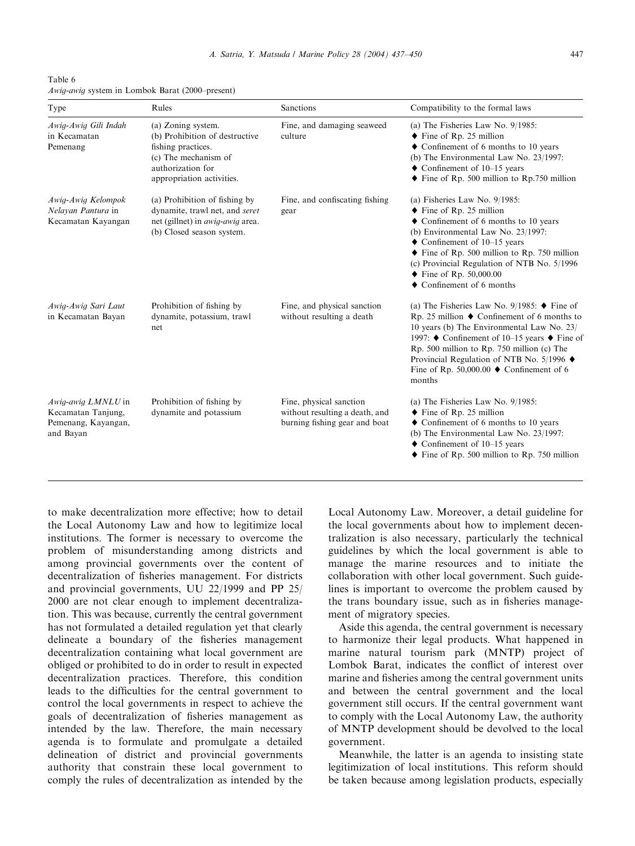<span id="page-10-0"></span>Table 6 Awig-awig system in Lombok Barat (2000–present)

| Type                                                                         | Rules                                                                                                                                                | Sanctions                                                                                  | Compatibility to the formal laws                                                                                                                                                                                                                                                                                                                                                                     |
|------------------------------------------------------------------------------|------------------------------------------------------------------------------------------------------------------------------------------------------|--------------------------------------------------------------------------------------------|------------------------------------------------------------------------------------------------------------------------------------------------------------------------------------------------------------------------------------------------------------------------------------------------------------------------------------------------------------------------------------------------------|
| Awig-Awig Gili Indah<br>in Kecamatan<br>Pemenang                             | (a) Zoning system.<br>(b) Prohibition of destructive<br>fishing practices.<br>(c) The mechanism of<br>authorization for<br>appropriation activities. | Fine, and damaging seaweed<br>culture                                                      | (a) The Fisheries Law No. $9/1985$ :<br>$\blacklozenge$ Fine of Rp. 25 million<br>$\blacklozenge$ Confinement of 6 months to 10 years<br>(b) The Environmental Law No. 23/1997:<br>$\blacklozenge$ Confinement of 10–15 years<br>$\blacklozenge$ Fine of Rp. 500 million to Rp.750 million                                                                                                           |
| Awig-Awig Kelompok<br>Nelayan Pantura in<br>Kecamatan Kayangan               | (a) Prohibition of fishing by<br>dynamite, trawl net, and seret<br>net (gillnet) in <i>awig-awig</i> area.<br>(b) Closed season system.              | Fine, and confiscating fishing<br>gear                                                     | (a) Fisheries Law No. $9/1985$ :<br>$\blacklozenge$ Fine of Rp. 25 million<br>$\blacklozenge$ Confinement of 6 months to 10 years<br>(b) Environmental Law No. 23/1997:<br>$\blacklozenge$ Confinement of 10–15 years<br>$\blacklozenge$ Fine of Rp. 500 million to Rp. 750 million<br>(c) Provincial Regulation of NTB No. 5/1996<br>• Fine of Rp. $50,000.00$<br>$\bullet$ Confinement of 6 months |
| Awig-Awig Sari Laut<br>in Kecamatan Bayan                                    | Prohibition of fishing by<br>dynamite, potassium, trawl<br>net.                                                                                      | Fine, and physical sanction<br>without resulting a death                                   | (a) The Fisheries Law No. 9/1985: $\blacklozenge$ Fine of<br>Rp. 25 million $\blacklozenge$ Confinement of 6 months to<br>10 years (b) The Environmental Law No. 23/<br>1997: ♦ Confinement of 10–15 years ♦ Fine of<br>Rp. 500 million to Rp. 750 million (c) The<br>Provincial Regulation of NTB No. 5/1996 $\blacklozenge$<br>Fine of Rp. 50,000.00 $\blacklozenge$ Confinement of 6<br>months    |
| Awig-awig LMNLU in<br>Kecamatan Tanjung,<br>Pemenang, Kayangan,<br>and Bayan | Prohibition of fishing by<br>dynamite and potassium                                                                                                  | Fine, physical sanction<br>without resulting a death, and<br>burning fishing gear and boat | (a) The Fisheries Law No. $9/1985$ :<br>$\blacklozenge$ Fine of Rp. 25 million<br>$\blacklozenge$ Confinement of 6 months to 10 years<br>(b) The Environmental Law No. 23/1997:<br>$\blacklozenge$ Confinement of 10–15 years<br>$\blacklozenge$ Fine of Rp. 500 million to Rp. 750 million                                                                                                          |

to make decentralization more effective; how to detail the Local Autonomy Law and how to legitimize local institutions. The former is necessary to overcome the problem of misunderstanding among districts and among provincial governments over the content of decentralization of fisheries management. For districts and provincial governments, UU 22/1999 and PP  $25/$ 2000 are not clear enough to implement decentralization. This was because, currently the central government has not formulated a detailed regulation yet that clearly delineate a boundary of the fisheries management decentralization containing what local government are obliged or prohibited to do in order to result in expected decentralization practices. Therefore, this condition leads to the difficulties for the central government to control the local governments in respect to achieve the goals of decentralization of fisheries management as intended by the law. Therefore, the main necessary agenda is to formulate and promulgate a detailed delineation of district and provincial governments authority that constrain these local government to comply the rules of decentralization as intended by the Local Autonomy Law. Moreover, a detail guideline for the local governments about how to implement decentralization is also necessary, particularly the technical guidelines by which the local government is able to manage the marine resources and to initiate the collaboration with other local government. Such guidelines is important to overcome the problem caused by the trans boundary issue, such as in fisheries management of migratory species.

Aside this agenda, the central government is necessary to harmonize their legal products. What happened in marine natural tourism park (MNTP) project of Lombok Barat, indicates the conflict of interest over marine and fisheries among the central government units and between the central government and the local government still occurs. If the central government want to comply with the Local Autonomy Law, the authority of MNTP development should be devolved to the local government.

Meanwhile, the latter is an agenda to insisting state legitimization of local institutions. This reform should be taken because among legislation products, especially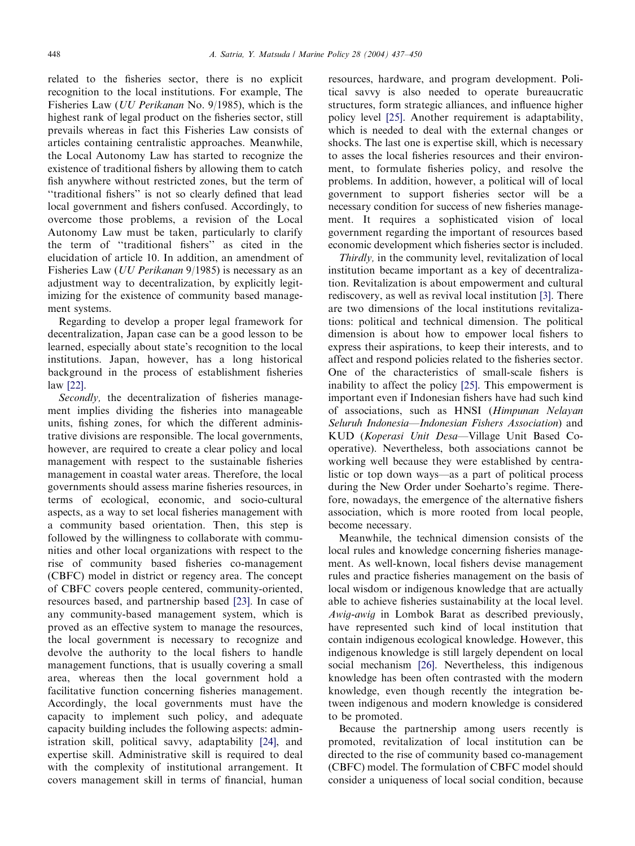related to the fisheries sector, there is no explicit recognition to the local institutions. For example, The Fisheries Law (UU Perikanan No. 9/1985), which is the highest rank of legal product on the fisheries sector, still prevails whereas in fact this Fisheries Law consists of articles containing centralistic approaches. Meanwhile, the Local Autonomy Law has started to recognize the existence of traditional fishers by allowing them to catch fish anywhere without restricted zones, but the term of ''traditional fishers'' is not so clearly defined that lead local government and fishers confused. Accordingly, to overcome those problems, a revision of the Local Autonomy Law must be taken, particularly to clarify the term of ''traditional fishers'' as cited in the elucidation of article 10. In addition, an amendment of Fisheries Law (UU Perikanan 9/1985) is necessary as an adjustment way to decentralization, by explicitly legitimizing for the existence of community based management systems.

Regarding to develop a proper legal framework for decentralization, Japan case can be a good lesson to be learned, especially about state's recognition to the local institutions. Japan, however, has a long historical background in the process of establishment fisheries law [\[22\]](#page-13-0).

Secondly, the decentralization of fisheries management implies dividing the fisheries into manageable units, fishing zones, for which the different administrative divisions are responsible. The local governments, however, are required to create a clear policy and local management with respect to the sustainable fisheries management in coastal water areas. Therefore, the local governments shouldassess marine fisheries resources, in terms of ecological, economic, and socio-cultural aspects, as a way to set local fisheries management with a community based orientation. Then, this step is followed by the willingness to collaborate with communities andother local organizations with respect to the rise of community based fisheries co-management (CBFC) model in district or regency area. The concept of CBFC covers people centered, community-oriented, resources based, and partnership based [\[23\]](#page-13-0). In case of any community-based management system, which is proved as an effective system to manage the resources, the local government is necessary to recognize and devolve the authority to the local fishers to handle management functions, that is usually covering a small area, whereas then the local government hold a facilitative function concerning fisheries management. Accordingly, the local governments must have the capacity to implement such policy, and adequate capacity building includes the following aspects: administration skill, political savvy, adaptability [\[24\]](#page-13-0), and expertise skill. Administrative skill is required to deal with the complexity of institutional arrangement. It covers management skill in terms of financial, human

resources, hardware, and program development. Political savvy is also needed to operate bureaucratic structures, form strategic alliances, and influence higher policy level [\[25\].](#page-13-0) Another requirement is adaptability, which is needed to deal with the external changes or shocks. The last one is expertise skill, which is necessary to asses the local fisheries resources and their environment, to formulate fisheries policy, and resolve the problems. In addition, however, a political will of local government to support fisheries sector will be a necessary condition for success of new fisheries management. It requires a sophisticated vision of local government regarding the important of resources based economic development which fisheries sector is included.

Thirdly, in the community level, revitalization of local institution became important as a key of decentralization. Revitalization is about empowerment and cultural rediscovery, as well as revival local institution [\[3\].](#page-12-0) There are two dimensions of the local institutions revitalizations: political andtechnical dimension. The political dimension is about how to empower local fishers to express their aspirations, to keep their interests, and to affect and respond policies related to the fisheries sector. One of the characteristics of small-scale fishers is inability to affect the policy [\[25\].](#page-13-0) This empowerment is important even if Indonesian fishers have had such kind of associations, such as HNSI (Himpunan Nelayan Seluruh Indonesia—Indonesian Fishers Association) and KUD (Koperasi Unit Desa—Village Unit Based Cooperative). Nevertheless, both associations cannot be working well because they were established by centralistic or top down ways—as a part of political process during the New Order under Soeharto's regime. Therefore, nowadays, the emergence of the alternative fishers association, which is more rooted from local people, become necessary.

Meanwhile, the technical dimension consists of the local rules and knowledge concerning fisheries management. As well-known, local fishers devise management rules and practice fisheries management on the basis of local wisdom or indigenous knowledge that are actually able to achieve fisheries sustainability at the local level. Awig-awig in Lombok Barat as described previously, have represented such kind of local institution that contain indigenous ecological knowledge. However, this indigenous knowledge is still largely dependent on local social mechanism [\[26\].](#page-13-0) Nevertheless, this indigenous knowledge has been often contrasted with the modern knowledge, even though recently the integration between indigenous and modern knowledge is considered to be promoted.

Because the partnership among users recently is promoted, revitalization of local institution can be directed to the rise of community based co-management (CBFC) model. The formulation of CBFC model should consider a uniqueness of local social condition, because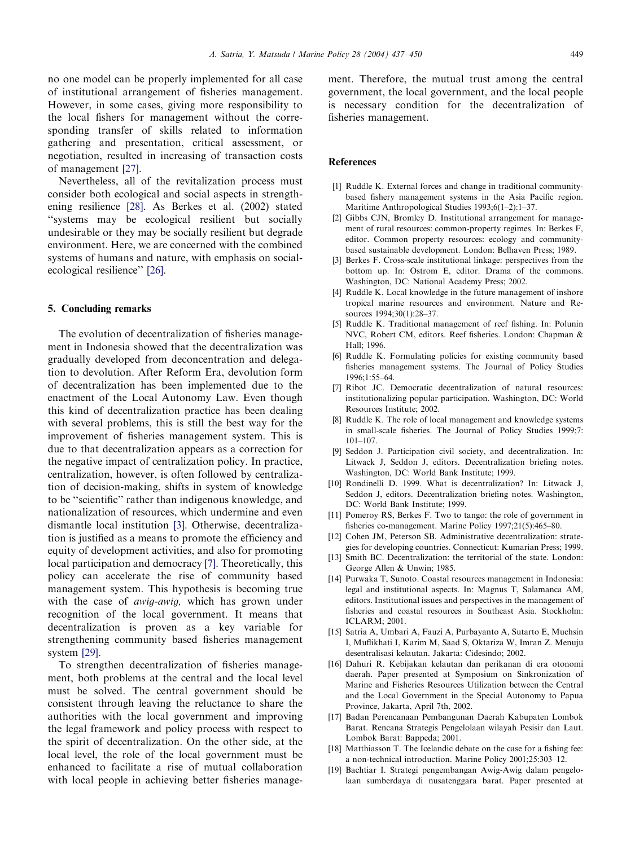<span id="page-12-0"></span>no one model can be properly implemented for all case of institutional arrangement of fisheries management. However, in some cases, giving more responsibility to the local fishers for management without the corresponding transfer of skills related to information gathering and presentation, critical assessment, or negotiation, resulted in increasing of transaction costs of management [\[27\]](#page-13-0).

Nevertheless, all of the revitalization process must consider both ecological and social aspects in strengthening resilience [\[28\]](#page-13-0). As Berkes et al. (2002) stated ''systems may be ecological resilient but socially undesirable or they may be socially resilient but degrade environment. Here, we are concerned with the combined systems of humans and nature, with emphasis on socialecological resilience'' [\[26\]](#page-13-0).

### 5. Concluding remarks

The evolution of decentralization of fisheries management in Indonesia showed that the decentralization was gradually developed from deconcentration and delegation to devolution. After Reform Era, devolution form of decentralization has been implemented due to the enactment of the Local Autonomy Law. Even though this kind of decentralization practice has been dealing with several problems, this is still the best way for the improvement of fisheries management system. This is due to that decentralization appears as a correction for the negative impact of centralization policy. In practice, centralization, however, is often followed by centralization of decision-making, shifts in system of knowledge to be ''scientific'' rather than indigenous knowledge, and nationalization of resources, which undermine and even dismantle local institution [3]. Otherwise, decentralization is justified as a means to promote the efficiency and equity of development activities, and also for promoting local participation and democracy [7]. Theoretically, this policy can accelerate the rise of community based management system. This hypothesis is becoming true with the case of *awig-awig*, which has grown under recognition of the local government. It means that decentralization is proven as a key variable for strengthening community based fisheries management system [\[29\]](#page-13-0).

To strengthen decentralization of fisheries management, both problems at the central and the local level must be solved. The central government should be consistent through leaving the reluctance to share the authorities with the local government andimproving the legal framework and policy process with respect to the spirit of decentralization. On the other side, at the local level, the role of the local government must be enhanced to facilitate a rise of mutual collaboration with local people in achieving better fisheries manage-

ment. Therefore, the mutual trust among the central government, the local government, and the local people is necessary condition for the decentralization of fisheries management.

#### References

- [1] Ruddle K. External forces and change in traditional communitybased fishery management systems in the Asia Pacific region. Maritime Anthropological Studies 1993;6(1–2):1–37.
- [2] Gibbs CJN, Bromley D. Institutional arrangement for management of rural resources: common-property regimes. In: Berkes F, editor. Common property resources: ecology and communitybased sustainable development. London: Belhaven Press; 1989.
- [3] Berkes F. Cross-scale institutional linkage: perspectives from the bottom up. In: Ostrom E, editor. Drama of the commons. Washington, DC: National Academy Press; 2002.
- [4] Ruddle K. Local knowledge in the future management of inshore tropical marine resources and environment. Nature and Resources 1994;30(1):28–37.
- [5] Ruddle K. Traditional management of reef fishing. In: Polunin NVC, Robert CM, editors. Reef fisheries. London: Chapman & Hall; 1996.
- [6] Ruddle K. Formulating policies for existing community based fisheries management systems. The Journal of Policy Studies 1996;1:55–64.
- [7] Ribot JC. Democratic decentralization of natural resources: institutionalizing popular participation. Washington, DC: World Resources Institute; 2002.
- [8] Ruddle K. The role of local management and knowledge systems in small-scale fisheries. The Journal of Policy Studies 1999;7: 101–107.
- [9] Seddon J. Participation civil society, and decentralization. In: Litwack J, Seddon J, editors. Decentralization briefing notes. Washington, DC: World Bank Institute; 1999.
- [10] Rondinelli D. 1999. What is decentralization? In: Litwack J, Seddon J, editors. Decentralization briefing notes. Washington, DC: World Bank Institute; 1999.
- [11] Pomeroy RS, Berkes F. Two to tango: the role of government in fisheries co-management. Marine Policy 1997;21(5):465–80.
- [12] Cohen JM, Peterson SB. Administrative decentralization: strategies for developing countries. Connecticut: Kumarian Press; 1999.
- [13] Smith BC. Decentralization: the territorial of the state. London: George Allen & Unwin; 1985.
- [14] Purwaka T, Sunoto. Coastal resources management in Indonesia: legal and institutional aspects. In: Magnus T, Salamanca AM, editors. Institutional issues and perspectives in the management of fisheries and coastal resources in Southeast Asia. Stockholm: ICLARM; 2001.
- [15] Satria A, Umbari A, Fauzi A, Purbayanto A, Sutarto E, Muchsin I, Muflikhati I, Karim M, Saad S, Oktariza W, Imran Z. Menuju desentralisasi kelautan. Jakarta: Cidesindo; 2002.
- [16] Dahuri R. Kebijakan kelautan dan perikanan di era otonomi daerah. Paper presented at Symposium on Sinkronization of Marine and Fisheries Resources Utilization between the Central and the Local Government in the Special Autonomy to Papua Province, Jakarta, April 7th, 2002.
- [17] Badan Perencanaan Pembangunan Daerah Kabupaten Lombok Barat. Rencana Strategis Pengelolaan wilayah Pesisir dan Laut. Lombok Barat: Bappeda; 2001.
- [18] Matthiasson T. The Icelandic debate on the case for a fishing fee: a non-technical introduction. Marine Policy 2001;25:303–12.
- [19] Bachtiar I. Strategi pengembangan Awig-Awig dalam pengelolaan sumberdaya di nusatenggara barat. Paper presented at